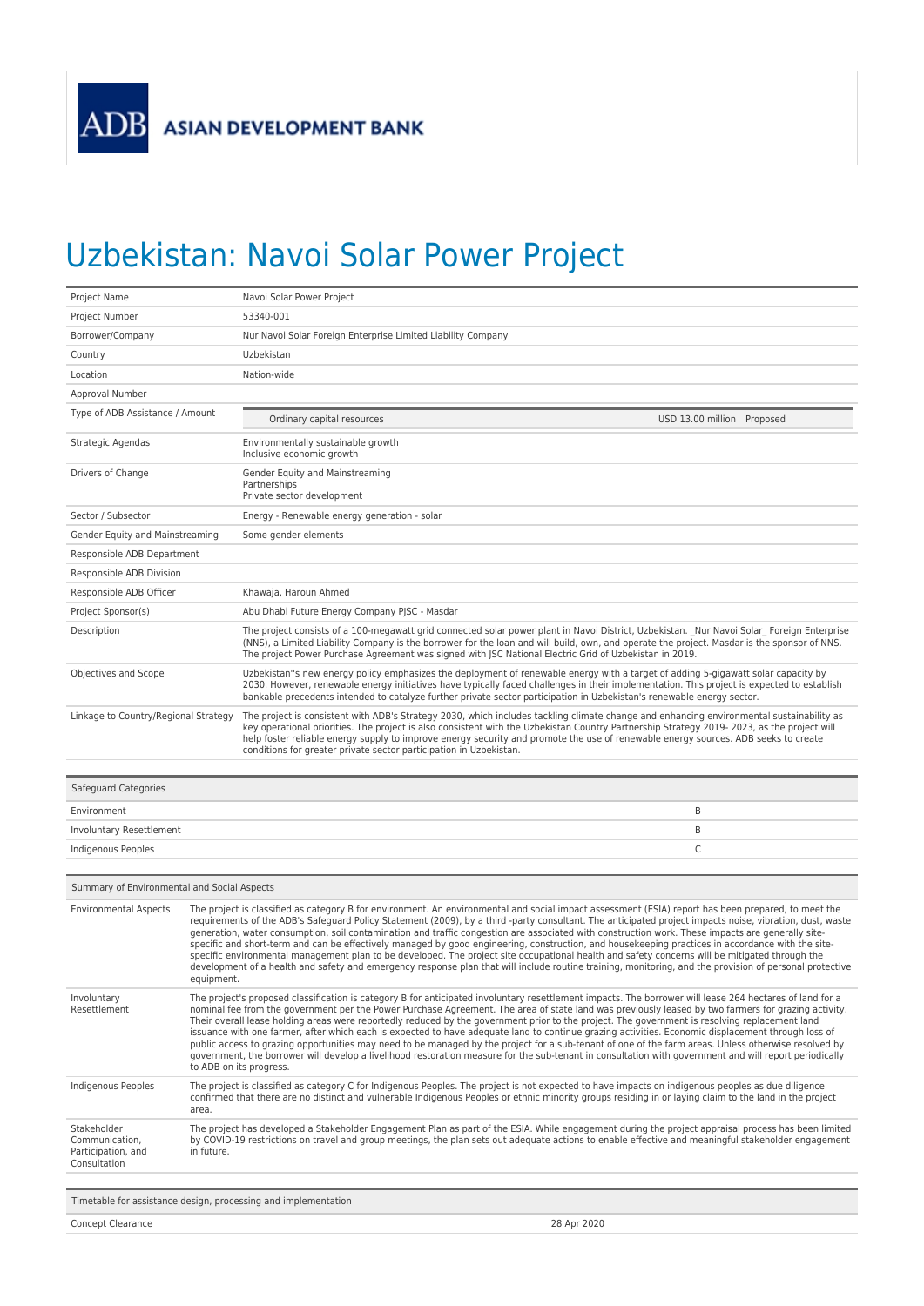## Uzbekistan: Navoi Solar Power Project

Concept Clearance 28 Apr 2020

| Project Name                                         |                                                                                                                                                                                                                                                                                                                                                                                                                                                                                                                                                                                                                                                                                                                                                                                                                                                                                                                                                                      | Navoi Solar Power Project                                                                                                                                                                                                                                                                                                                                                                                                                                                                           |
|------------------------------------------------------|----------------------------------------------------------------------------------------------------------------------------------------------------------------------------------------------------------------------------------------------------------------------------------------------------------------------------------------------------------------------------------------------------------------------------------------------------------------------------------------------------------------------------------------------------------------------------------------------------------------------------------------------------------------------------------------------------------------------------------------------------------------------------------------------------------------------------------------------------------------------------------------------------------------------------------------------------------------------|-----------------------------------------------------------------------------------------------------------------------------------------------------------------------------------------------------------------------------------------------------------------------------------------------------------------------------------------------------------------------------------------------------------------------------------------------------------------------------------------------------|
| Project Number                                       |                                                                                                                                                                                                                                                                                                                                                                                                                                                                                                                                                                                                                                                                                                                                                                                                                                                                                                                                                                      | 53340-001                                                                                                                                                                                                                                                                                                                                                                                                                                                                                           |
| Borrower/Company                                     |                                                                                                                                                                                                                                                                                                                                                                                                                                                                                                                                                                                                                                                                                                                                                                                                                                                                                                                                                                      | Nur Navoi Solar Foreign Enterprise Limited Liability Company                                                                                                                                                                                                                                                                                                                                                                                                                                        |
| Country                                              |                                                                                                                                                                                                                                                                                                                                                                                                                                                                                                                                                                                                                                                                                                                                                                                                                                                                                                                                                                      | Uzbekistan                                                                                                                                                                                                                                                                                                                                                                                                                                                                                          |
| Location                                             |                                                                                                                                                                                                                                                                                                                                                                                                                                                                                                                                                                                                                                                                                                                                                                                                                                                                                                                                                                      | Nation-wide                                                                                                                                                                                                                                                                                                                                                                                                                                                                                         |
| Approval Number                                      |                                                                                                                                                                                                                                                                                                                                                                                                                                                                                                                                                                                                                                                                                                                                                                                                                                                                                                                                                                      |                                                                                                                                                                                                                                                                                                                                                                                                                                                                                                     |
| Type of ADB Assistance / Amount                      |                                                                                                                                                                                                                                                                                                                                                                                                                                                                                                                                                                                                                                                                                                                                                                                                                                                                                                                                                                      | Ordinary capital resources<br>USD 13.00 million Proposed                                                                                                                                                                                                                                                                                                                                                                                                                                            |
| Strategic Agendas                                    |                                                                                                                                                                                                                                                                                                                                                                                                                                                                                                                                                                                                                                                                                                                                                                                                                                                                                                                                                                      | Environmentally sustainable growth<br>Inclusive economic growth                                                                                                                                                                                                                                                                                                                                                                                                                                     |
| Drivers of Change                                    |                                                                                                                                                                                                                                                                                                                                                                                                                                                                                                                                                                                                                                                                                                                                                                                                                                                                                                                                                                      | Gender Equity and Mainstreaming<br>Partnerships<br>Private sector development                                                                                                                                                                                                                                                                                                                                                                                                                       |
| Sector / Subsector                                   |                                                                                                                                                                                                                                                                                                                                                                                                                                                                                                                                                                                                                                                                                                                                                                                                                                                                                                                                                                      | Energy - Renewable energy generation - solar                                                                                                                                                                                                                                                                                                                                                                                                                                                        |
| Gender Equity and Mainstreaming                      |                                                                                                                                                                                                                                                                                                                                                                                                                                                                                                                                                                                                                                                                                                                                                                                                                                                                                                                                                                      | Some gender elements                                                                                                                                                                                                                                                                                                                                                                                                                                                                                |
| Responsible ADB Department                           |                                                                                                                                                                                                                                                                                                                                                                                                                                                                                                                                                                                                                                                                                                                                                                                                                                                                                                                                                                      |                                                                                                                                                                                                                                                                                                                                                                                                                                                                                                     |
| Responsible ADB Division                             |                                                                                                                                                                                                                                                                                                                                                                                                                                                                                                                                                                                                                                                                                                                                                                                                                                                                                                                                                                      |                                                                                                                                                                                                                                                                                                                                                                                                                                                                                                     |
| Responsible ADB Officer                              |                                                                                                                                                                                                                                                                                                                                                                                                                                                                                                                                                                                                                                                                                                                                                                                                                                                                                                                                                                      | Khawaja, Haroun Ahmed                                                                                                                                                                                                                                                                                                                                                                                                                                                                               |
| Project Sponsor(s)                                   |                                                                                                                                                                                                                                                                                                                                                                                                                                                                                                                                                                                                                                                                                                                                                                                                                                                                                                                                                                      | Abu Dhabi Future Energy Company PJSC - Masdar                                                                                                                                                                                                                                                                                                                                                                                                                                                       |
| Description                                          |                                                                                                                                                                                                                                                                                                                                                                                                                                                                                                                                                                                                                                                                                                                                                                                                                                                                                                                                                                      | The project consists of a 100-megawatt grid connected solar power plant in Navoi District, Uzbekistan. Nur Navoi Solar Foreign Enterprise<br>(NNS), a Limited Liability Company is the borrower for the loan and will build, own, and operate the project. Masdar is the sponsor of NNS.<br>The project Power Purchase Agreement was signed with JSC National Electric Grid of Uzbekistan in 2019.                                                                                                  |
| Objectives and Scope                                 |                                                                                                                                                                                                                                                                                                                                                                                                                                                                                                                                                                                                                                                                                                                                                                                                                                                                                                                                                                      | Uzbekistan"s new energy policy emphasizes the deployment of renewable energy with a target of adding 5-gigawatt solar capacity by<br>2030. However, renewable energy initiatives have typically faced challenges in their implementation. This project is expected to establish<br>bankable precedents intended to catalyze further private sector participation in Uzbekistan's renewable energy sector.                                                                                           |
| Linkage to Country/Regional Strategy                 |                                                                                                                                                                                                                                                                                                                                                                                                                                                                                                                                                                                                                                                                                                                                                                                                                                                                                                                                                                      | The project is consistent with ADB's Strategy 2030, which includes tackling climate change and enhancing environmental sustainability as<br>key operational priorities. The project is also consistent with the Uzbekistan Country Partnership Strategy 2019- 2023, as the project will<br>help foster reliable energy supply to improve energy security and promote the use of renewable energy sources. ADB seeks to create<br>conditions for greater private sector participation in Uzbekistan. |
| Safeguard Categories                                 |                                                                                                                                                                                                                                                                                                                                                                                                                                                                                                                                                                                                                                                                                                                                                                                                                                                                                                                                                                      |                                                                                                                                                                                                                                                                                                                                                                                                                                                                                                     |
| Environment                                          |                                                                                                                                                                                                                                                                                                                                                                                                                                                                                                                                                                                                                                                                                                                                                                                                                                                                                                                                                                      | B                                                                                                                                                                                                                                                                                                                                                                                                                                                                                                   |
| Involuntary Resettlement                             |                                                                                                                                                                                                                                                                                                                                                                                                                                                                                                                                                                                                                                                                                                                                                                                                                                                                                                                                                                      | B                                                                                                                                                                                                                                                                                                                                                                                                                                                                                                   |
| Indigenous Peoples                                   |                                                                                                                                                                                                                                                                                                                                                                                                                                                                                                                                                                                                                                                                                                                                                                                                                                                                                                                                                                      | C                                                                                                                                                                                                                                                                                                                                                                                                                                                                                                   |
|                                                      |                                                                                                                                                                                                                                                                                                                                                                                                                                                                                                                                                                                                                                                                                                                                                                                                                                                                                                                                                                      |                                                                                                                                                                                                                                                                                                                                                                                                                                                                                                     |
| Summary of Environmental and Social Aspects          |                                                                                                                                                                                                                                                                                                                                                                                                                                                                                                                                                                                                                                                                                                                                                                                                                                                                                                                                                                      |                                                                                                                                                                                                                                                                                                                                                                                                                                                                                                     |
| <b>Environmental Aspects</b>                         | The project is classified as category B for environment. An environmental and social impact assessment (ESIA) report has been prepared, to meet the<br>requirements of the ADB's Safeguard Policy Statement (2009), by a third -party consultant. The anticipated project impacts noise, vibration, dust, waste<br>generation, water consumption, soil contamination and traffic congestion are associated with construction work. These impacts are generally site-<br>specific and short-term and can be effectively managed by good engineering, construction, and housekeeping practices in accordance with the site-<br>specific environmental management plan to be developed. The project site occupational health and safety concerns will be mitigated through the<br>development of a health and safety and emergency response plan that will include routine training, monitoring, and the provision of personal protective<br>equipment.                 |                                                                                                                                                                                                                                                                                                                                                                                                                                                                                                     |
| Involuntary<br>Resettlement                          | The project's proposed classification is category B for anticipated involuntary resettlement impacts. The borrower will lease 264 hectares of land for a<br>nominal fee from the government per the Power Purchase Agreement. The area of state land was previously leased by two farmers for grazing activity.<br>Their overall lease holding areas were reportedly reduced by the government prior to the project. The government is resolving replacement land<br>issuance with one farmer, after which each is expected to have adequate land to continue grazing activities. Economic displacement through loss of<br>public access to grazing opportunities may need to be managed by the project for a sub-tenant of one of the farm areas. Unless otherwise resolved by<br>government, the borrower will develop a livelihood restoration measure for the sub-tenant in consultation with government and will report periodically<br>to ADB on its progress. |                                                                                                                                                                                                                                                                                                                                                                                                                                                                                                     |
| Indigenous Peoples                                   | The project is classified as category C for Indigenous Peoples. The project is not expected to have impacts on indigenous peoples as due diligence<br>confirmed that there are no distinct and vulnerable Indigenous Peoples or ethnic minority groups residing in or laying claim to the land in the project<br>area.                                                                                                                                                                                                                                                                                                                                                                                                                                                                                                                                                                                                                                               |                                                                                                                                                                                                                                                                                                                                                                                                                                                                                                     |
| Stakeholder                                          | The project has developed a Stakeholder Engagement Plan as part of the ESIA. While engagement during the project appraisal process has been limited<br>by COVID-19 restrictions on travel and group meetings, the plan sets out adequate actions to enable effective and meaningful stakeholder engagement<br>in future.                                                                                                                                                                                                                                                                                                                                                                                                                                                                                                                                                                                                                                             |                                                                                                                                                                                                                                                                                                                                                                                                                                                                                                     |
| Communication,<br>Participation, and<br>Consultation |                                                                                                                                                                                                                                                                                                                                                                                                                                                                                                                                                                                                                                                                                                                                                                                                                                                                                                                                                                      |                                                                                                                                                                                                                                                                                                                                                                                                                                                                                                     |
|                                                      |                                                                                                                                                                                                                                                                                                                                                                                                                                                                                                                                                                                                                                                                                                                                                                                                                                                                                                                                                                      | Timetable for assistance design, processing and implementation                                                                                                                                                                                                                                                                                                                                                                                                                                      |